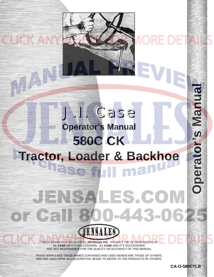# Isunal Ma **Operator's Manual 580C CK [Tractor, Loader & Backhoe](http://www.jensales.com/products/case-580c-tractor-loader-backhoe-operators-manual.html)**

JENSALES.CON

**ISALES** 

800-443-062

J.I. Case

THIS IS A MANUAL PRODUCED BY **JENSALES INC.** WITHOUT THE AUTHORIZATION OF **J.I. CASE** OR IT'S SUCCESSORS. **J.I. CASE** AND IT'S SUCCESSORS ARE NOT RESPONSIBLE FOR THE QUALITY OR ACCURACY OF THIS MANUAL.

 $T^*(C_2)$  .

TRADE MARKS AND TRADE NAMES CONTAINED AND USED HEREIN ARE THOSE OF OTHERS, AND ARE USED HERE IN A DESCRIPTIVE SENSE TO REFER TO THE PRODUCTS OF OTHERS.

**CA-O-580CTLB** 

**Operator's Manual**

Operator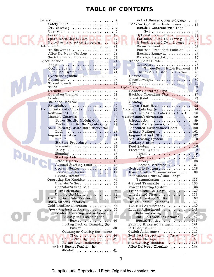### **TABLE OF CONTENTS**

| Cooling System<br>24<br>Electrical System<br>24<br>Hydraulic System<br>25<br>Capacities<br>25<br>Travel Speeds<br>26<br>26<br>Op<br><b>Buckets</b><br>27<br>. <i>.</i><br>Operating Weights<br>28<br>28<br>Loader<br>Standard Backhoe<br>29<br>Extendahoe<br>30<br>Instruments and Controls<br>36<br><b>.</b><br>Instrument Cluster<br>36<br>.<br>Machine Controls<br>38<br>. <i>.</i> .<br>Power Shuttle Models Only<br>40<br>Mechanical Shuttle Models Only.<br>41<br>Seat. Parking Brake and Differential<br>Lock<br>43<br>.<br>Engine Operation<br>44<br>$Run-In$<br>44<br>Starting Procedure<br>45<br>$Warm-Up \dots \dots \dots \dots$<br>46<br>Idling<br>46<br>Stopping<br>46<br>Starting Aids<br>46<br>Ether Injection $\dots\dots\dots\dots$<br>46<br>Aerosol Starting Fluid<br>48<br>Coolant Heater<br>49<br>Booster Batteries<br>49<br>Battery Heater<br>50<br>Operating the Machine<br>50<br>Operator's Seat<br>50<br>.<br>Operator's Seat Belt<br>51<br>.<br>Gear Selection<br>52<br><b>.</b><br>Driving the Machine<br>55<br>.<br>Loading Unit Onto Trailer<br>57<br>.<br>Hot Weather Operation<br>58<br>.<br>Cold Weather Operation<br>58<br>.<br>Operating Instructions<br>60<br>Loader Operating Instructions<br>60<br>Raising and Lowering the<br>$Bucket$<br>60<br>Rolling Back or Dumping the<br>Bucket<br>60<br>.<br>Opening or Closing the Bucket<br>$\text{Clam}$<br>60<br>Return-To-Dig<br>61<br>Bucket Level Indicator<br>61<br>4-In-1 Bucket Position In-<br>dicator<br>61<br>. | Safety<br>Safety Rules<br>Operation 5<br>Service $\cdots$ 12<br>Spark Arresting System<br>Roll-Over Protection Structure<br>To the Owner $\ldots$ , $\ldots$ , $\ldots$<br>After Delivery Checkup<br>Serial Number Location<br>.<br>Specifications<br>Engine $\ldots \ldots \ldots \ldots \ldots$ | 2<br>2<br>17<br>17<br>21<br>21<br>21<br>23<br>24<br>24 |
|-----------------------------------------------------------------------------------------------------------------------------------------------------------------------------------------------------------------------------------------------------------------------------------------------------------------------------------------------------------------------------------------------------------------------------------------------------------------------------------------------------------------------------------------------------------------------------------------------------------------------------------------------------------------------------------------------------------------------------------------------------------------------------------------------------------------------------------------------------------------------------------------------------------------------------------------------------------------------------------------------------------------------------------------------------------------------------------------------------------------------------------------------------------------------------------------------------------------------------------------------------------------------------------------------------------------------------------------------------------------------------------------------------------------------------------------------------------------------------------------------------------|---------------------------------------------------------------------------------------------------------------------------------------------------------------------------------------------------------------------------------------------------------------------------------------------------|--------------------------------------------------------|
|                                                                                                                                                                                                                                                                                                                                                                                                                                                                                                                                                                                                                                                                                                                                                                                                                                                                                                                                                                                                                                                                                                                                                                                                                                                                                                                                                                                                                                                                                                           |                                                                                                                                                                                                                                                                                                   |                                                        |
|                                                                                                                                                                                                                                                                                                                                                                                                                                                                                                                                                                                                                                                                                                                                                                                                                                                                                                                                                                                                                                                                                                                                                                                                                                                                                                                                                                                                                                                                                                           |                                                                                                                                                                                                                                                                                                   |                                                        |
|                                                                                                                                                                                                                                                                                                                                                                                                                                                                                                                                                                                                                                                                                                                                                                                                                                                                                                                                                                                                                                                                                                                                                                                                                                                                                                                                                                                                                                                                                                           |                                                                                                                                                                                                                                                                                                   | Fu<br>Ma                                               |
|                                                                                                                                                                                                                                                                                                                                                                                                                                                                                                                                                                                                                                                                                                                                                                                                                                                                                                                                                                                                                                                                                                                                                                                                                                                                                                                                                                                                                                                                                                           |                                                                                                                                                                                                                                                                                                   |                                                        |
|                                                                                                                                                                                                                                                                                                                                                                                                                                                                                                                                                                                                                                                                                                                                                                                                                                                                                                                                                                                                                                                                                                                                                                                                                                                                                                                                                                                                                                                                                                           |                                                                                                                                                                                                                                                                                                   |                                                        |
|                                                                                                                                                                                                                                                                                                                                                                                                                                                                                                                                                                                                                                                                                                                                                                                                                                                                                                                                                                                                                                                                                                                                                                                                                                                                                                                                                                                                                                                                                                           |                                                                                                                                                                                                                                                                                                   |                                                        |
|                                                                                                                                                                                                                                                                                                                                                                                                                                                                                                                                                                                                                                                                                                                                                                                                                                                                                                                                                                                                                                                                                                                                                                                                                                                                                                                                                                                                                                                                                                           |                                                                                                                                                                                                                                                                                                   |                                                        |
|                                                                                                                                                                                                                                                                                                                                                                                                                                                                                                                                                                                                                                                                                                                                                                                                                                                                                                                                                                                                                                                                                                                                                                                                                                                                                                                                                                                                                                                                                                           |                                                                                                                                                                                                                                                                                                   |                                                        |
|                                                                                                                                                                                                                                                                                                                                                                                                                                                                                                                                                                                                                                                                                                                                                                                                                                                                                                                                                                                                                                                                                                                                                                                                                                                                                                                                                                                                                                                                                                           |                                                                                                                                                                                                                                                                                                   |                                                        |
|                                                                                                                                                                                                                                                                                                                                                                                                                                                                                                                                                                                                                                                                                                                                                                                                                                                                                                                                                                                                                                                                                                                                                                                                                                                                                                                                                                                                                                                                                                           |                                                                                                                                                                                                                                                                                                   |                                                        |
|                                                                                                                                                                                                                                                                                                                                                                                                                                                                                                                                                                                                                                                                                                                                                                                                                                                                                                                                                                                                                                                                                                                                                                                                                                                                                                                                                                                                                                                                                                           |                                                                                                                                                                                                                                                                                                   |                                                        |

| 4-In-1 Bucket Clam Indicator 62                                                                                                                                                                                                                                                                                                                                                                                                     |  |
|-------------------------------------------------------------------------------------------------------------------------------------------------------------------------------------------------------------------------------------------------------------------------------------------------------------------------------------------------------------------------------------------------------------------------------------|--|
| Backhoe Operating Instructions  65                                                                                                                                                                                                                                                                                                                                                                                                  |  |
| Backhoe Controls with Foot                                                                                                                                                                                                                                                                                                                                                                                                          |  |
| Swing $\ldots \ldots \ldots \ldots \ldots 65$                                                                                                                                                                                                                                                                                                                                                                                       |  |
| Optional Twin Levers  66                                                                                                                                                                                                                                                                                                                                                                                                            |  |
| Extendahoe and Foot Swing 67                                                                                                                                                                                                                                                                                                                                                                                                        |  |
| Extendahoe and Twin Levers 68                                                                                                                                                                                                                                                                                                                                                                                                       |  |
| Boom Lockout 69                                                                                                                                                                                                                                                                                                                                                                                                                     |  |
| Backhoe Transport Position  70                                                                                                                                                                                                                                                                                                                                                                                                      |  |
| Backhoe Removal  73                                                                                                                                                                                                                                                                                                                                                                                                                 |  |
| Backhoe Installation 75                                                                                                                                                                                                                                                                                                                                                                                                             |  |
| Three-Point Hitch 76                                                                                                                                                                                                                                                                                                                                                                                                                |  |
|                                                                                                                                                                                                                                                                                                                                                                                                                                     |  |
| $Controls \ldots \ldots \ldots \ldots \ldots \ldots 76$                                                                                                                                                                                                                                                                                                                                                                             |  |
| Three-Point Hitch Removal . 77                                                                                                                                                                                                                                                                                                                                                                                                      |  |
| Three-Point Hitch Installation 78                                                                                                                                                                                                                                                                                                                                                                                                   |  |
|                                                                                                                                                                                                                                                                                                                                                                                                                                     |  |
|                                                                                                                                                                                                                                                                                                                                                                                                                                     |  |
| $\begin{tabular}{ll} \textbf{Drawbar} & \textbf{.} & \textbf{.} & \textbf{.} & \textbf{.} & \textbf{.} & \textbf{.} & \textbf{.} & \textbf{.} & \textbf{.} & \textbf{.} & \textbf{.} & \textbf{.} & \textbf{.} & \textbf{.} & \textbf{.} & \textbf{.} & \textbf{.} & \textbf{.} & \textbf{.} & \textbf{.} & \textbf{.} & \textbf{.} & \textbf{.} & \textbf{.} & \textbf{.} & \textbf{.} & \textbf{.} & \textbf{.} & \textbf{.} & \$ |  |
| Operating Tips 83                                                                                                                                                                                                                                                                                                                                                                                                                   |  |
| Loader Operating Tips  83                                                                                                                                                                                                                                                                                                                                                                                                           |  |
| Backhoe Operating Tips  87                                                                                                                                                                                                                                                                                                                                                                                                          |  |
| Frost Point  93                                                                                                                                                                                                                                                                                                                                                                                                                     |  |
| Craning $\ldots \ldots \ldots \ldots \ldots \ldots 94$                                                                                                                                                                                                                                                                                                                                                                              |  |
| Three-Point Hitch 95                                                                                                                                                                                                                                                                                                                                                                                                                |  |
| Fuels and Lubricants  96                                                                                                                                                                                                                                                                                                                                                                                                            |  |
|                                                                                                                                                                                                                                                                                                                                                                                                                                     |  |
| Fuel, Fluids and Lubricants Chart 98                                                                                                                                                                                                                                                                                                                                                                                                |  |
| Maintenance/Lubrication  99                                                                                                                                                                                                                                                                                                                                                                                                         |  |
| Introduction  99                                                                                                                                                                                                                                                                                                                                                                                                                    |  |
|                                                                                                                                                                                                                                                                                                                                                                                                                                     |  |
| Run-In Maintenance Chart<br>Scheduled Maintenance Chart<br>No. 100                                                                                                                                                                                                                                                                                                                                                                  |  |
| Grease Fittings  102                                                                                                                                                                                                                                                                                                                                                                                                                |  |
| Engine Oil and Filter  107                                                                                                                                                                                                                                                                                                                                                                                                          |  |
| Air Cleaning System  110                                                                                                                                                                                                                                                                                                                                                                                                            |  |
| Cooling System 113                                                                                                                                                                                                                                                                                                                                                                                                                  |  |
| Fuel System $\dots \dots \dots \dots \dots \dots 116$                                                                                                                                                                                                                                                                                                                                                                               |  |
| Electrical System  119                                                                                                                                                                                                                                                                                                                                                                                                              |  |
|                                                                                                                                                                                                                                                                                                                                                                                                                                     |  |
| Lights<br>Alternator<br>122<br>Battery<br>123<br>Booster Batteries<br>127<br>127                                                                                                                                                                                                                                                                                                                                                    |  |
|                                                                                                                                                                                                                                                                                                                                                                                                                                     |  |
|                                                                                                                                                                                                                                                                                                                                                                                                                                     |  |
| Hydraulic System 128                                                                                                                                                                                                                                                                                                                                                                                                                |  |
| Power Shuttle Transmission  130                                                                                                                                                                                                                                                                                                                                                                                                     |  |
| Mechanical Shuttle/Dual Range                                                                                                                                                                                                                                                                                                                                                                                                       |  |
| 132<br>$Transmission \dots \dots$                                                                                                                                                                                                                                                                                                                                                                                                   |  |
|                                                                                                                                                                                                                                                                                                                                                                                                                                     |  |
| 133<br>4 Speed Transaxle<br>. <i>. .</i>                                                                                                                                                                                                                                                                                                                                                                                            |  |
| 135<br>Power Steering System                                                                                                                                                                                                                                                                                                                                                                                                        |  |
| 137<br>Front Wheel Bearings<br>مام من إلا من م<br>×.                                                                                                                                                                                                                                                                                                                                                                                |  |
| Wheels and Tires<br>138                                                                                                                                                                                                                                                                                                                                                                                                             |  |
| 139<br>Spark Arresting Muffler.                                                                                                                                                                                                                                                                                                                                                                                                     |  |
| 139<br>Brake Master Cylinders                                                                                                                                                                                                                                                                                                                                                                                                       |  |
| 140<br>Fan Belt Adjustment                                                                                                                                                                                                                                                                                                                                                                                                          |  |
| 141<br>Loader Adjustment<br>.                                                                                                                                                                                                                                                                                                                                                                                                       |  |
| Return-To-Dig<br>141                                                                                                                                                                                                                                                                                                                                                                                                                |  |
| Anti-Rollback Adjustment<br>142<br>. .                                                                                                                                                                                                                                                                                                                                                                                              |  |
| Bucket Teeth<br>143                                                                                                                                                                                                                                                                                                                                                                                                                 |  |
| 144<br>Parking Brake Adjustment                                                                                                                                                                                                                                                                                                                                                                                                     |  |
| . 145<br>PTO Adjustment                                                                                                                                                                                                                                                                                                                                                                                                             |  |
| 145<br>Clutch Adjustment                                                                                                                                                                                                                                                                                                                                                                                                            |  |
| Seat Belt Inspection and Care<br>146                                                                                                                                                                                                                                                                                                                                                                                                |  |
| 146                                                                                                                                                                                                                                                                                                                                                                                                                                 |  |
| Machine Storage                                                                                                                                                                                                                                                                                                                                                                                                                     |  |
| .148<br>Reactivating Machine                                                                                                                                                                                                                                                                                                                                                                                                        |  |
| 149<br>After Delivery Checkup                                                                                                                                                                                                                                                                                                                                                                                                       |  |
|                                                                                                                                                                                                                                                                                                                                                                                                                                     |  |

1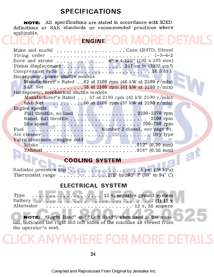### **SPECIFICATIONS**

**NOTE:** All specifications are stated in accordance with ICED definitions or SAE standards or recommended practices where applicable.

| <b>ENGINE</b>                                                   |                 |
|-----------------------------------------------------------------|-----------------|
| Make and model Case G207D, Diesel                               |                 |
| Firing order                                                    | $1 - 3 - 4 - 2$ |
|                                                                 |                 |
|                                                                 |                 |
|                                                                 |                 |
| Horsepower, power shuttle models                                |                 |
| Manufacturer's Rated 62 at 2100 rpm (46 kW at 2100 r/min)       |                 |
| SAE Net 55 at 2100 rpm (41 kW at 2100 r/min)                    |                 |
| Horsepower, mechanical shuttle models                           |                 |
| Manufacturer's Rated $57$ at 2100 rpm (43 kW 2100 r/min)        |                 |
| SAE Net 50 at 2100 rpm $(37 \text{ kW at } 2100 \text{ r/min})$ |                 |
| Engine speeds                                                   |                 |
|                                                                 |                 |
|                                                                 |                 |
|                                                                 |                 |
| Number 2 diesel, see page 91.<br>Fuel                           |                 |
|                                                                 |                 |
| Valve clearance - engine cold                                   |                 |
| <b>Intake</b>                                                   |                 |
|                                                                 |                 |
|                                                                 |                 |

### **COOLING SYSTEM**

 $\circledR$ 

P

[Radiator pressure cap .................... 4 psi \(28 kPa\)](http://www.jensales.com/products/case-580c-tractor-loader-backhoe-operators-manual.html)   $\ldots$  .175° to 202° F (80° to 94° C)

### **ELECTRICAL SYSTEM**

| Alternator | $\ldots \ldots \ldots \ldots \ldots \ldots \ldots \ldots \ldots 12 \text{ v}, 35 \text{ ampere}$ |
|------------|--------------------------------------------------------------------------------------------------|

**NOTE:** "Right Hand" and "Left Hand", when used in the manual, indicated the right and left sides of the machine as viewed from the operator's seat.

## HERE FOR

24

Compiled and Reproduced From Original by Jensales Inc.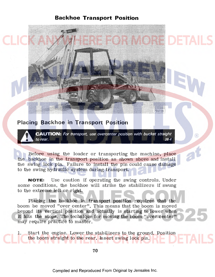**Backhoe Transport Position** 

### **Placing Backhoe in Transport Position**

. **A CAUTION:** *For transport, use overcenter position with bucket straight to rear.* 0 28-4

755728

®

Before using the loader or transporting the machine, place the backhoe in the transport position as shown above and install the swing lock pin. Failure to install the pin could cause damage to the swing hydraulic system during transport.

**NOTE:** Use caution if operating the swing controls. Under some conditions, the backhoe will strike the stabilizers if swung to the extreme left or right.

Placing the backhoe in transport position requires that the boom be moved "over center". This means that the boom is moved beyond its vertical position and actually is starting to lower when it hits the stops. The teclmique for moving the boom "over center" may require practice to master.

Start the engine. Lower the stabilizers to the ground. Position the boom straight to the rear. Insert swing lock pin.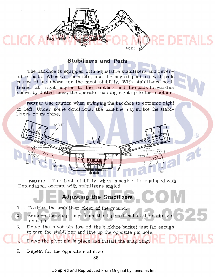

### **Stabilizers and Pads**

The backhoe is equipped with adjustable stabilizers and reversible pads. Whenever possible, use the angled position with pads rearward as shown for the most stability. With stabilizers posi[tioned at right angles to the backhoe and the pads forward as](http://www.jensales.com/products/case-580c-tractor-loader-backhoe-operators-manual.html)  shown by dotted lines, the operator can dig right up to the machine.

**NOTE:** Use caution when swinging the backhoe to extreme right or left. Under some conditions, the backhoe may strike the stabilizers or machine.



 $\binom{R}{k}$ 

**NOTE:** For best stability when machine is equipped with Extendahoe, operate with stabilizers angled.

### **Adjusting the Stabilizers**

- L Position the stabilizer clear of the ground.
- 2. Remove the snap ring from the tapered end of the stabilizer pivot pin.
- 3. Drive the pivot pin toward the backhoe bucket just far enough to turn the stabilizer and line up the opposite pin hole.

4. Drive the pivot pin in place and install the snap ring.

5. Repeat for the opposite stabilizer.

Compiled and Reproduced From Original by Jensales Inc.